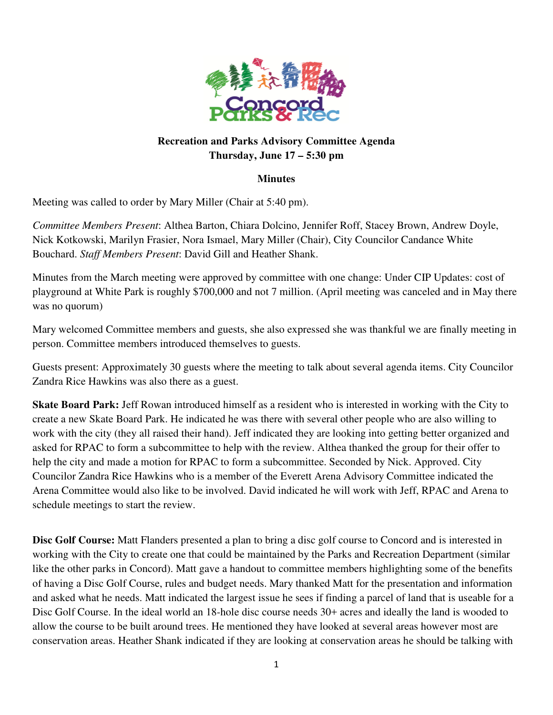

## **Recreation and Parks Advisory Committee Agenda Thursday, June 17 – 5:30 pm**

## **Minutes**

Meeting was called to order by Mary Miller (Chair at 5:40 pm).

*Committee Members Present*: Althea Barton, Chiara Dolcino, Jennifer Roff, Stacey Brown, Andrew Doyle, Nick Kotkowski, Marilyn Frasier, Nora Ismael, Mary Miller (Chair), City Councilor Candance White Bouchard. *Staff Members Present*: David Gill and Heather Shank.

Minutes from the March meeting were approved by committee with one change: Under CIP Updates: cost of playground at White Park is roughly \$700,000 and not 7 million. (April meeting was canceled and in May there was no quorum)

Mary welcomed Committee members and guests, she also expressed she was thankful we are finally meeting in person. Committee members introduced themselves to guests.

Guests present: Approximately 30 guests where the meeting to talk about several agenda items. City Councilor Zandra Rice Hawkins was also there as a guest.

**Skate Board Park:** Jeff Rowan introduced himself as a resident who is interested in working with the City to create a new Skate Board Park. He indicated he was there with several other people who are also willing to work with the city (they all raised their hand). Jeff indicated they are looking into getting better organized and asked for RPAC to form a subcommittee to help with the review. Althea thanked the group for their offer to help the city and made a motion for RPAC to form a subcommittee. Seconded by Nick. Approved. City Councilor Zandra Rice Hawkins who is a member of the Everett Arena Advisory Committee indicated the Arena Committee would also like to be involved. David indicated he will work with Jeff, RPAC and Arena to schedule meetings to start the review.

**Disc Golf Course:** Matt Flanders presented a plan to bring a disc golf course to Concord and is interested in working with the City to create one that could be maintained by the Parks and Recreation Department (similar like the other parks in Concord). Matt gave a handout to committee members highlighting some of the benefits of having a Disc Golf Course, rules and budget needs. Mary thanked Matt for the presentation and information and asked what he needs. Matt indicated the largest issue he sees if finding a parcel of land that is useable for a Disc Golf Course. In the ideal world an 18-hole disc course needs 30+ acres and ideally the land is wooded to allow the course to be built around trees. He mentioned they have looked at several areas however most are conservation areas. Heather Shank indicated if they are looking at conservation areas he should be talking with